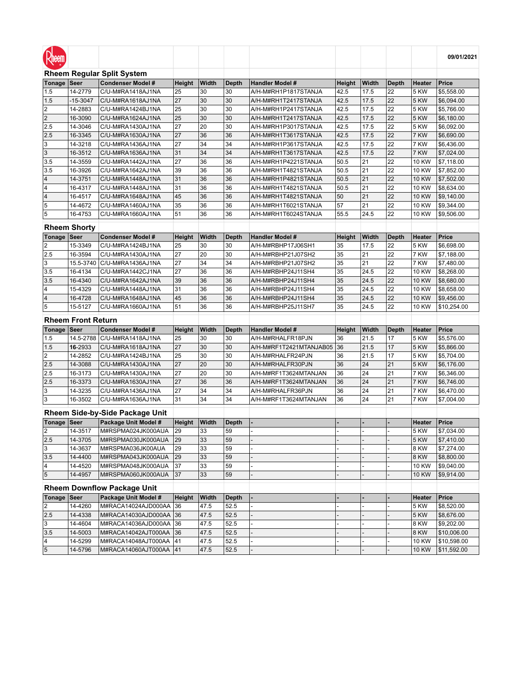| Rheem                  |                           |                                                |              |              |                    |                                        |              |               |                    |                              | 09/01/2021                 |
|------------------------|---------------------------|------------------------------------------------|--------------|--------------|--------------------|----------------------------------------|--------------|---------------|--------------------|------------------------------|----------------------------|
|                        |                           | <b>Rheem Regular Split System</b>              |              |              |                    |                                        |              |               |                    |                              |                            |
| Tonage                 | Seer                      | <b>Condenser Model #</b>                       | Height       | Width        | <b>Depth</b>       | <b>Handler Model #</b>                 | Height       | Width         | <b>Depth</b>       | Heater                       | <b>Price</b>               |
| 1.5                    | 14-2779                   | C/U-M#RA1418AJ1NA                              | 25           | 30           | 30                 | A/H-M#RH1P1817STANJA                   | 42.5         | 17.5          | 22                 | 5 KW                         | \$5,558.00                 |
| 1.5                    | $-15 - 3047$              | C/U-M#RA1618AJ1NA                              | 27           | 30           | 30                 | A/H-M#RH1T2417STANJA                   | 42.5         | 17.5          | 22                 | 5 KW                         | \$6,094.00                 |
| 2                      | 14-2883                   | C/U-M#RA1424BJ1NA                              | 25           | 30           | 30                 | A/H-M#RH1P2417STANJA                   | 42.5         | 17.5          | 22                 | 5 KW                         | \$5,766.00                 |
| $\overline{2}$         | 16-3090                   | C/U-M#RA1624AJ1NA                              | 25           | 30           | 30                 | A/H-M#RH1T2417STANJA                   | 42.5         | 17.5          | 22                 | 5 KW                         | \$6,180.00                 |
| 2.5                    | 14-3046                   | C/U-M#RA1430AJ1NA                              | 27           | 20           | 30                 | A/H-M#RH1P3017STANJA                   | 42.5         | 17.5          | 22                 | 5 KW                         | \$6,092.00                 |
| 2.5                    | 16-3345                   | C/U-M#RA1630AJ1NA                              | 27           | 36           | 36                 | A/H-M#RH1T3617STANJA                   | 42.5         | 17.5          | 22                 | 7 KW                         | \$6,690.00                 |
| 3                      | 14-3218                   | C/U-M#RA1436AJ1NA                              | 27           | 34           | 34                 | A/H-M#RH1P3617STANJA                   | 42.5         | 17.5          | 22                 | 7 KW                         | \$6,436.00                 |
| 3                      | 16-3512                   | C/U-M#RA1636AJ1NA                              | 31           | 34           | 34                 | A/H-M#RH1T3617STANJA                   | 42.5         | 17.5          | 22                 | 7 KW                         | \$7,024.00                 |
| 3.5                    | 14-3559                   | C/U-M#RA1442AJ1NA                              | 27           | 36           | 36                 | A/H-M#RH1P4221STANJA                   | 50.5         | 21            | 22                 | 10 KW                        | \$7,118.00                 |
| 3.5                    | 16-3926                   | C/U-M#RA1642AJ1NA                              | 39           | 36           | 36                 | A/H-M#RH1T4821STANJA                   | 50.5         | 21            | 22                 | 10 KW                        | \$7,852.00                 |
| 4                      | 14-3751                   | C/U-M#RA1448AJ1NA                              | 31           | 36           | 36                 | A/H-M#RH1P4821STANJA                   | 50.5         | 21            | 22                 | <b>10 KW</b>                 | \$7,502.00                 |
| 4                      | 16-4317                   | C/U-M#RA1448AJ1NA                              | 31           | 36           | 36                 | A/H-M#RH1T4821STANJA                   | 50.5         | 21            | 22                 | 10 KW                        | \$8,634.00                 |
| 4                      | 16-4517                   | C/U-M#RA1648AJ1NA                              | 45           | 36           | 36                 | A/H-M#RH1T4821STANJA                   | 50           | 21            | 22                 | 10 KW                        | \$9,140.00                 |
| 5                      | 14-4672                   | C/U-M#RA1460AJ1NA                              | 35           | 36           | 36                 | A/H-M#RH1T6021STANJA                   | 57           | 21            | 22                 | 10 KW                        | \$9,344.00                 |
| 5                      | 16-4753                   | C/U-M#RA1660AJ1NA                              | 51           | 36           | 36                 | A/H-M#RH1T6024STANJA                   | 55.5         | 24.5          | 22                 | 10 KW                        | \$9,506.00                 |
|                        |                           |                                                |              |              |                    |                                        |              |               |                    |                              |                            |
|                        | <b>Rheem Shorty</b>       |                                                |              |              |                    |                                        |              |               |                    |                              |                            |
| Tonage                 | <b>Seer</b>               | <b>Condenser Model #</b>                       | Height       | Width        | <b>Depth</b>       | <b>Handler Model #</b>                 | Height       | Width         | <b>Depth</b>       | Heater                       | <b>Price</b>               |
| 2                      | 15-3349                   | C/U-M#RA1424BJ1NA                              | 25           | 30           | 30                 | A/H-M#RBHP17J06SH1                     | 35           | 17.5          | 22                 | 5 KW                         | \$6,698.00                 |
| 2.5                    | 16-3594                   | C/U-M#RA1430AJ1NA                              | 27           | 20           | 30                 | A/H-M#RBHP21J07SH2                     | 35           | 21            | 22                 | 7 KW                         | \$7,188.00                 |
| 3                      | 15.5-3740                 | C/U-M#RA1436AJ1NA                              | 27           | 34           | 34                 | A/H-M#RBHP21J07SH2                     | 35           | 21            | 22                 | 7 KW                         | \$7,480.00                 |
| 3.5                    | 16-4134                   | C/U-M#RA1442CJ1NA                              | 27           | 36           | 36                 | A/H-M#RBHP24J11SH4                     | 35           | 24.5          | 22                 | 10 KW                        | \$8,268.00                 |
| 3.5                    | 16-4340                   | C/U-M#RA1642AJ1NA                              | 39           | 36           | 36                 | A/H-M#RBHP24J11SH4                     | 35           | 24.5          | 22                 | <b>10 KW</b>                 | \$8,680.00                 |
| $\overline{4}$         | 15-4329                   | C/U-M#RA1448AJ1NA                              | 31           | 36           | 36                 | A/H-M#RBHP24J11SH4                     | 35           | 24.5          | 22                 | <b>10 KW</b>                 | \$8,658.00                 |
| $\overline{4}$         | 16-4728                   | C/U-M#RA1648AJ1NA                              | 45           | 36           | 36                 | A/H-M#RBHP24J11SH4                     | 35           | 24.5          | 22                 | 10 KW                        | \$9,456.00                 |
| 5                      | 15-5127                   | C/U-M#RA1660AJ1NA                              | 51           | 36           | 36                 | A/H-M#RBHP25J11SH7                     | 35           | 24.5          | 22                 | 10 KW                        | \$10,254.00                |
|                        |                           |                                                |              |              |                    |                                        |              |               |                    |                              |                            |
|                        |                           |                                                |              |              |                    |                                        |              |               |                    |                              |                            |
|                        | <b>Rheem Front Return</b> |                                                |              |              |                    |                                        |              |               |                    |                              |                            |
| Tonage<br>1.5          | Seer                      | <b>Condenser Model #</b>                       | Height<br>25 | Width<br>30  | <b>Depth</b><br>30 | <b>Handler Model #</b>                 | Height<br>36 | Width<br>21.5 | <b>Depth</b><br>17 | Heater<br>5 KW               | Price                      |
|                        | 14.5-2788                 | C/U-M#RA1418AJ1NA                              | 27           |              |                    | A/H-M#RHALFR18PJN                      |              |               |                    |                              | \$5,576.00                 |
| 1.5                    | 16-2933                   | C/U-M#RA1618AJ1NA                              | 25           | 30<br>30     | 30                 | A/H-M#RF1T2421MTANJAB05                | 36           | 21.5          | 17<br>17           | 5 KW                         | \$5,866.00                 |
| $\overline{2}$<br> 2.5 | 14-2852<br>14-3088        | C/U-M#RA1424BJ1NA<br>C/U-M#RA1430AJ1NA         | 27           | 20           | 30<br>30           | A/H-M#RHALFR24PJN<br>A/H-M#RHALFR30PJN | 36<br>36     | 21.5          | 21                 | 5 KW<br>5 KW                 | \$5,704.00                 |
|                        |                           |                                                |              |              |                    |                                        |              | 24            |                    |                              | \$6,176.00                 |
| 2.5                    | 16-3173                   | C/U-M#RA1430AJ1NA                              | 27           | 20           | 30                 | A/H-M#RF1T3624MTANJAN                  | 36           | 24            | 21                 | 7 KW                         | \$6,346.00                 |
| 2.5                    | 16-3373                   | C/U-M#RA1630AJ1NA                              | 27           | 36           | 36                 | A/H-M#RF1T3624MTANJAN                  | 36           | 24            | 21                 | 7 KW                         | \$6,746.00                 |
| 3                      | 14-3235                   | C/U-M#RA1436AJ1NA                              | 27<br>31     | 34<br>34     | 34<br>34           | A/H-M#RHALFR36PJN                      | 36<br>36     | 24<br>24      | 21<br>21           | 7 KW                         | \$6,470.00                 |
| 3                      | 16-3502                   | C/U-M#RA1636AJ1NA                              |              |              |                    | A/H-M#RF1T3624MTANJAN                  |              |               |                    | 7 KW                         | \$7,004.00                 |
|                        |                           | Rheem Side-by-Side Package Unit                |              |              |                    |                                        |              |               |                    |                              |                            |
| ∣Tonage ∣Seer          |                           | Package Unit Model #                           | Height       | Width        | <b>Depth</b>       |                                        |              |               |                    | Heater                       | <b>Price</b>               |
| 2                      | 14-3517                   | M#RSPMA024JK000AUA                             | 29           | 33           | 59                 |                                        |              |               |                    | <b>5 KW</b>                  | \$7,034.00                 |
| 2.5                    | 14-3705                   | M#RSPMA030JK000AUA                             | 29           | 33           | 59                 |                                        |              |               |                    | <b>5 KW</b>                  | \$7,410.00                 |
| 3                      | 14-3637                   | M#RSPMA036JK00AUA                              | 29           | 33           | 59                 |                                        |              |               |                    | 8 KW                         | \$7,274.00                 |
| 3.5                    | 14-4400                   | M#RSPMA043JK000AUA                             | 29           | 33           | 59                 |                                        |              |               |                    | <b>8 KW</b>                  | \$8,800.00                 |
| 4                      | 14-4520                   | M#RSPMA048JK000AUA                             | 37           | 33           | 59                 |                                        |              |               |                    | <b>10 KW</b>                 | \$9,040.00                 |
| $\overline{5}$         | 14-4957                   | M#RSPMA060JK000AUA                             | 37           | 33           | 59                 |                                        |              |               |                    | <b>10 KW</b>                 | \$9,914.00                 |
|                        |                           |                                                |              |              |                    |                                        |              |               |                    |                              |                            |
|                        |                           | <b>Rheem Downflow Package Unit</b>             |              |              |                    |                                        |              |               |                    |                              |                            |
| Tonage                 | Seer                      | Package Unit Model #                           | Height       | Width        | <b>Depth</b>       |                                        |              |               |                    | Heater                       | <b>Price</b>               |
| 2                      | 14-4260                   | M#RACA14024AJD000AA                            | 36           | 47.5         | 52.5               |                                        |              |               |                    | 5 KW                         | \$8,520.00                 |
| $\overline{2.5}$       | 14-4338                   | M#RACA14030AJD000AA                            | 36           | 47.5         | 52.5               |                                        |              |               |                    | 5 KW                         | \$8,676.00                 |
| 3                      | 14-4604                   | M#RACA14036AJD000AA                            | 36           | 47.5         | 52.5               |                                        |              |               |                    | 8 KW                         | \$9,202.00                 |
| 3.5                    | 14-5003                   | M#RACA14042AJT000AA                            | 36           | 47.5         | 52.5               |                                        |              |               |                    | 8 KW                         | \$10,006.00                |
| 4<br>$\overline{5}$    | 14-5299<br>14-5796        | M#RACA14048AJT000AA<br>M#RACA14060AJT000AA  41 | 41           | 47.5<br>47.5 | 52.5<br>52.5       |                                        |              |               |                    | <b>10 KW</b><br><b>10 KW</b> | \$10,598.00<br>\$11,592.00 |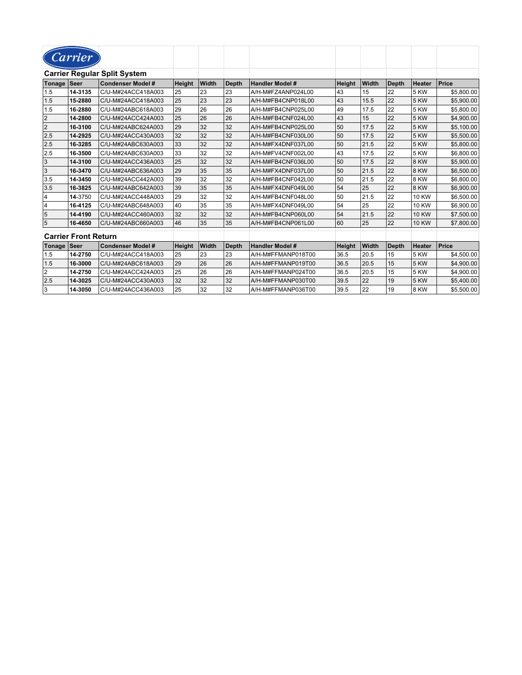|                | Carrier                     |                                     |        |       |              |                        |               |       |              |               |            |
|----------------|-----------------------------|-------------------------------------|--------|-------|--------------|------------------------|---------------|-------|--------------|---------------|------------|
|                |                             | <b>Carrier Regular Split System</b> |        |       |              |                        |               |       |              |               |            |
| Tonage         | ∣Seer                       | <b>Condenser Model #</b>            | Height | Width | <b>Depth</b> | <b>Handler Model #</b> | <b>Height</b> | Width | <b>Depth</b> | Heater        | Price      |
| 1.5            | 14-3135                     | C/U-M#24ACC418A003                  | 25     | 23    | 23           | A/H-M#FZ4ANP024L00     | 43            | 15    | 22           | 5 KW          | \$5,800.00 |
| 1.5            | 15-2880                     | C/U-M#24ACC418A003                  | 25     | 23    | 23           | A/H-M#FB4CNP018L00     | 43            | 15.5  | 22           | 5 KW          | \$5,900.00 |
| 1.5            | 16-2880                     | C/U-M#24ABC618A003                  | 29     | 26    | 26           | A/H-M#FB4CNP025L00     | 49            | 17.5  | 22           | 5 KW          | \$5.800.00 |
| 2              | 14-2800                     | C/U-M#24ACC424A003                  | 25     | 26    | 26           | A/H-M#FB4CNF024L00     | 43            | 15    | 22           | <b>5 KW</b>   | \$4,900.00 |
| 2              | 16-3100                     | C/U-M#24ABC624A003                  | 29     | 32    | 32           | A/H-M#FB4CNP025L00     | 50            | 17.5  | 22           | 5 KW          | \$5,100.00 |
| 2.5            | 14-2925                     | C/U-M#24ACC430A003                  | 32     | 32    | 32           | A/H-M#FB4CNF030L00     | 50            | 17.5  | 22           | <b>5 KW</b>   | \$5.500.00 |
| 2.5            | 16-3285                     | C/U-M#24ABC630A003                  | 33     | 32    | 32           | A/H-M#FX4DNF037L00     | 50            | 21.5  | 22           | <b>5 KW</b>   | \$5,800.00 |
| 2.5            | 16-3500                     | C/U-M#24ABC630A003                  | 33     | 32    | 32           | A/H-M#FV4CNF002L00     | 43            | 17.5  | 22           | 5 KW          | \$6,800.00 |
| 3              | 14-3100                     | C/U-M#24ACC436A003                  | 25     | 32    | 32           | A/H-M#FB4CNF036L00     | 50            | 17.5  | 22           | 8 KW          | \$5,900.00 |
| 3              | 16-3470                     | C/U-M#24ABC636A003                  | 29     | 35    | 35           | A/H-M#FX4DNF037L00     | 50            | 21.5  | 22           | 8 KW          | \$6,500.00 |
| 3.5            | 14-3450                     | C/U-M#24ACC442A003                  | 39     | 32    | 32           | A/H-M#FB4CNF042L00     | 50            | 21.5  | 22           | 8 KW          | \$6,800.00 |
| 3.5            | 16-3825                     | C/U-M#24ABC642A003                  | 39     | 35    | 35           | A/H-M#FX4DNF049L00     | 54            | 25    | 22           | 8 KW          | \$6,900.00 |
| $\overline{4}$ | 14-3750                     | C/U-M#24ACC448A003                  | 29     | 32    | 32           | A/H-M#FB4CNF048L00     | 50            | 21.5  | 22           | <b>10 KW</b>  | \$6,500.00 |
| 14             | 16-4125                     | C/U-M#24ABC648A003                  | 40     | 35    | 35           | A/H-M#FX4DNF049L00     | 54            | 25    | 22           | <b>10 KW</b>  | \$6,900.00 |
| $\overline{5}$ | 14-4190                     | C/U-M#24ACC460A003                  | 32     | 32    | 32           | A/H-M#FB4CNP060L00     | 54            | 21.5  | 22           | <b>10 KW</b>  | \$7,500.00 |
| 5              | 16-4650                     | C/U-M#24ABC660A003                  | 46     | 35    | 35           | A/H-M#FB4CNP061L00     | 60            | 25    | 22           | <b>10 KW</b>  | \$7,800.00 |
|                | <b>Carrier Front Return</b> |                                     |        |       |              |                        |               |       |              |               |            |
| Tonage         | ∣Seer                       | <b>Condenser Model #</b>            | Height | Width | <b>Depth</b> | <b>Handler Model #</b> | Height        | Width | <b>Depth</b> | <b>Heater</b> | Price      |
| 1.5            | 14-2750                     | C/U-M#24ACC418A003                  | 25     | 23    | 23           | A/H-M#FFMANP018T00     | 36.5          | 20.5  | 15           | 5 KW          | \$4.500.00 |
| 1.5            | 16-3000                     | C/U-M#24ABC618A003                  | 29     | 26    | 26           | A/H-M#FFMANP019T00     | 36.5          | 20.5  | 15           | <b>5 KW</b>   | \$4,900.00 |
| $\overline{2}$ | 14-2750                     | C/U-M#24ACC424A003                  | 25     | 26    | 26           | A/H-M#FFMANP024T00     | 36.5          | 20.5  | 15           | 5 KW          | \$4,900.00 |
| 2.5            | 14-3025                     | C/U-M#24ACC430A003                  | 32     | 32    | 32           | A/H-M#FFMANP030T00     | 39.5          | 22    | 19           | 5 KW          | \$5,400.00 |
| 3              | 14-3050                     | C/U-M#24ACC436A003                  | 25     | 32    | 32           | A/H-M#FFMANP036T00     | 39.5          | 22    | 19           | 8 KW          | \$5.500.00 |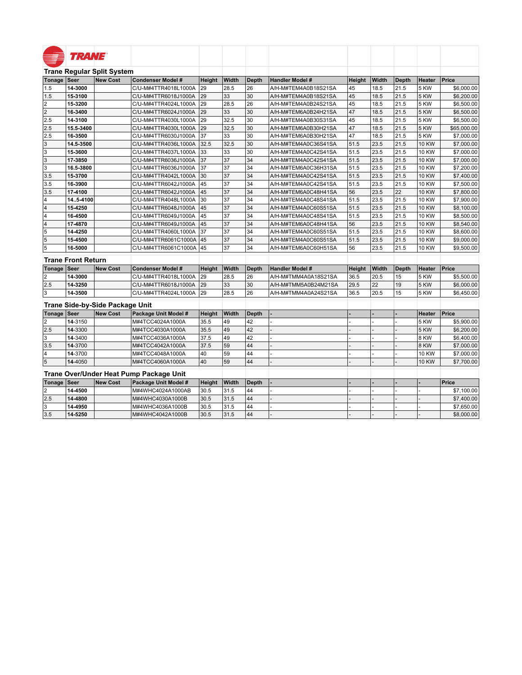|                         | <b>TRANE</b> ®            |                                   |                                         |               |       |              |                        |        |       |              |              |             |
|-------------------------|---------------------------|-----------------------------------|-----------------------------------------|---------------|-------|--------------|------------------------|--------|-------|--------------|--------------|-------------|
|                         |                           |                                   |                                         |               |       |              |                        |        |       |              |              |             |
|                         |                           | <b>Trane Regular Split System</b> |                                         |               |       |              |                        |        |       |              |              |             |
| Tonage                  | Seer                      | <b>New Cost</b>                   | <b>Condenser Model #</b>                | Height        | Width | <b>Depth</b> | <b>Handler Model #</b> | Height | Width | <b>Depth</b> | Heater       | Price       |
| 1.5                     | 14-3000                   |                                   | C/U-M#4TTR4018L1000A                    | 29            | 28.5  | 26           | A/H-M#TEM4A0B18S21SA   | 45     | 18.5  | 21.5         | 5 KW         | \$6,000.00  |
| 1.5                     | 15-3100                   |                                   | C/U-M#4TTR6018J1000A                    | 29            | 33    | 30           | A/H-M#TEM4A0B18S21SA   | 45     | 18.5  | 21.5         | 5 KW         | \$6,200.00  |
| $\overline{2}$          | 15-3200                   |                                   | C/U-M#4TTR4024L1000A                    | 29            | 28.5  | 26           | A/H-M#TEM4A0B24S21SA   | 45     | 18.5  | 21.5         | 5 KW         | \$6,500.00  |
| $\overline{2}$          | 16-3400                   |                                   | C/U-M#4TTR6024J1000A                    | 29            | 33    | 30           | A/H-M#TEM6A0B24H21SA   | 47     | 18.5  | 21.5         | 5 KW         | \$6,500.00  |
| 2.5                     | 14-3100                   |                                   | C/U-M#4TTR4030L1000A                    | 29            | 32.5  | 30           | A/H-M#TEM4A0B30S31SA   | 45     | 18.5  | 21.5         | 5 KW         | \$6,500.00  |
| 2.5                     | 15.5-3400                 |                                   | C/U-M#4TTR4030L1000A                    | 29            | 32.5  | 30           | A/H-M#TEM6A0B30H21SA   | 47     | 18.5  | 21.5         | 5 KW         | \$65,000.00 |
| 2.5                     | 16-3500                   |                                   | C/U-M#4TTR6030J1000A                    | 37            | 33    | 30           | A/H-M#TEM6A0B30H21SA   | 47     | 18.5  | 21.5         | 5 KW         | \$7,000.00  |
| 3                       | 14.5-3500                 |                                   | C/U-M#4TTR4036L1000A                    | 32.5          | 32.5  | 30           | A/H-M#TEM4A0C36S41SA   | 51.5   | 23.5  | 21.5         | <b>10 KW</b> | \$7,000.00  |
|                         | 15-3600                   |                                   | C/U-M#4TTR4037L1000A                    | 33            | 33    | 30           | A/H-M#TEM4A0C42S41SA   | 51.5   | 23.5  | 21.5         | <b>10 KW</b> | \$7,000.00  |
| $\overline{3}$          | 17-3850                   |                                   | C/U-M#4TTR6036J1000A                    | 37            | 37    | 34           | A/H-M#TEM4A0C42S41SA   | 51.5   | 23.5  | 21.5         | <b>10 KW</b> | \$7,000.00  |
| $\overline{\mathsf{3}}$ | 16.5-3800                 |                                   | C/U-M#4TTR6036J1000A                    | 37            | 37    | 34           | A/H-M#TEM6A0C36H31SA   | 51.5   | 23.5  | 21.5         | <b>10 KW</b> | \$7,200.00  |
| 3.5                     | 15-3700                   |                                   | C/U-M#4TTR4042L1000A                    | 30            | 37    | 34           | A/H-M#TEM4A0C42S41SA   | 51.5   | 23.5  | 21.5         | <b>10 KW</b> | \$7,400.00  |
| 3.5                     | 16-3900                   |                                   | C/U-M#4TTR6042J1000A                    | 45            | 37    | 34           | A/H-M#TEM4A0C42S41SA   | 51.5   | 23.5  | 21.5         | <b>10 KW</b> | \$7,500.00  |
| 3.5                     | 17-4100                   |                                   | C/U-M#4TTR6042J1000A                    | 45            | 37    | 34           | A/H-M#TEM6A0C48H41SA   | 56     | 23.5  | 22           | <b>10 KW</b> | \$7,800.00  |
| 4                       | 145-4100                  |                                   | C/U-M#4TTR4048L1000A                    | 30            | 37    | 34           | A/H-M#TEM4A0C48S41SA   | 51.5   | 23.5  | 21.5         | <b>10 KW</b> | \$7,900.00  |
| $\vert$ 4               | 15-4250                   |                                   | C/U-M#4TTR6048J1000A                    | 45            | 37    | 34           | A/H-M#TEM4A0C60S51SA   | 51.5   | 23.5  | 21.5         | <b>10 KW</b> | \$8,100.00  |
| $\overline{4}$          | 16-4500                   |                                   | C/U-M#4TTR6049J1000A                    | 45            | 37    | 34           | A/H-M#TEM4A0C48S41SA   | 51.5   | 23.5  | 21.5         | 10 KW        | \$8,500.00  |
| $\overline{4}$          | 17-4870                   |                                   | C/U-M#4TTR6049J1000A                    | 45            | 37    | 34           | A/H-M#TEM6A0C48H41SA   | 56     | 23.5  | 21.5         | <b>10 KW</b> | \$8,540.00  |
| $\overline{5}$          | 14-4250                   |                                   | C/U-M#4TTR4060L1000A                    | 37            | 37    | 34           | A/H-M#TEM4A0C60S51SA   | 51.5   | 23.5  | 21.5         | <b>10 KW</b> | \$8,600.00  |
| 5                       | 15-4500                   |                                   | C/U-M#4TTR6061C1000A                    | 45            | 37    | 34           | A/H-M#TEM4A0C60S51SA   | 51.5   | 23.5  | 21.5         | <b>10 KW</b> | \$9,000.00  |
| $\overline{5}$          | 16-5000                   |                                   | C/U-M#4TTR6061C1000A 45                 |               | 37    | 34           | A/H-M#TEM6A0C60H51SA   | 56     | 23.5  | 21.5         | 10 KW        | \$9,500.00  |
|                         | <b>Trane Front Return</b> |                                   |                                         |               |       |              |                        |        |       |              |              |             |
| Tonage                  | Seer                      | <b>New Cost</b>                   | <b>Condenser Model #</b>                | <b>Height</b> | Width | <b>Depth</b> | <b>Handler Model #</b> | Height | Width | <b>Depth</b> | Heater       | Price       |
| 2                       | 14-3000                   |                                   | C/U-M#4TTR4018L1000A                    | 29            | 28.5  | 26           | A/H-M#TMM4A0A18S21SA   | 36.5   | 20.5  | 15           | 5 KW         | \$5,500.00  |
| 2.5                     | 14-3250                   |                                   | C/U-M#4TTR6018J1000A                    | 29            | 33    | 30           | A/H-M#TMM5A0B24M21SA   | 29.5   | 22    | 19           | 5 KW         | \$6,000.00  |
| 3                       | 14-3500                   |                                   | C/U-M#4TTR4024L1000A                    | 29            | 28.5  | 26           | A/H-M#TMM4A0A24S21SA   | 36.5   | 20.5  | 15           | 5 KW         | \$6,450.00  |
|                         |                           | Trane Side-by-Side Package Unit   |                                         |               |       |              |                        |        |       |              |              |             |
| Tonage                  | Seer                      | <b>New Cost</b>                   | Package Unit Model #                    | Height        | Width | Depth        |                        |        |       |              | Heater       | Price       |
| 2                       | 14-3150                   |                                   | M#4TCC4024A1000A                        | 35.5          | 49    | 42           |                        |        |       |              | 5 KW         | \$5,900.00  |
| 2.5                     | 14-3300                   |                                   | M#4TCC4030A1000A                        | 35.5          | 49    | 42           |                        |        |       |              | 5 KW         | \$6,200.00  |
| 3                       | 14-3400                   |                                   | M#4TCC4036A1000A                        | 37.5          | 49    | 42           |                        |        |       |              | 8 KW         | \$6,400.00  |
| 3.5                     | 14-3700                   |                                   | M#4TCC4042A1000A                        | 37.5          | 59    | 44           |                        |        |       |              | 8 KW         | \$7,000.00  |
| 4                       | 14-3700                   |                                   | M#4TCC4048A1000A                        | 40            | 59    | 44           |                        |        |       |              | <b>10 KW</b> | \$7,000.00  |
| $\overline{5}$          | 14-4050                   |                                   | M#4TCC4060A1000A                        | 40            | 59    | 44           |                        |        |       |              | <b>10 KW</b> | \$7,700.00  |
|                         |                           |                                   | Trane Over/Under Heat Pump Package Unit |               |       |              |                        |        |       |              |              |             |
| Tonage                  | Seer                      | <b>New Cost</b>                   | Package Unit Model #                    | Height        | Width | <b>Depth</b> |                        |        |       |              |              | Price       |
| 2                       | 14-4500                   |                                   | M#4WHC4024A1000AB                       | 30.5          | 31.5  | 44           |                        |        |       |              |              | \$7,100.00  |
| 2.5                     | 14-4800                   |                                   | M#4WHC4030A1000B                        | 30.5          | 31.5  | 44           |                        |        |       |              |              | \$7,400.00  |
| 3                       | 14-4950                   |                                   | M#4WHC4036A1000B                        | 30.5          | 31.5  | 44           |                        |        |       |              |              | \$7,650.00  |
| 3.5                     | 14-5250                   |                                   | M#4WHC4042A1000B                        | 30.5          | 31.5  | 44           |                        |        |       |              |              | \$8,000.00  |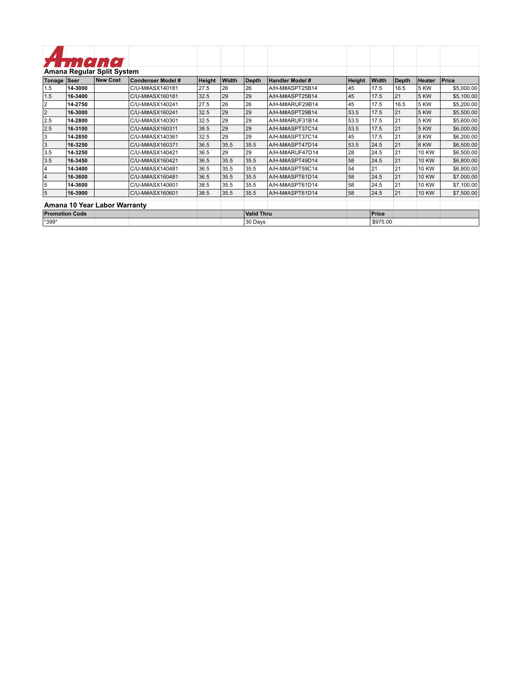|                       |         | Amana                        |                   |        |       |                   |                        |        |          |              |              |            |
|-----------------------|---------|------------------------------|-------------------|--------|-------|-------------------|------------------------|--------|----------|--------------|--------------|------------|
|                       |         | Amana Regular Split System   |                   |        |       |                   |                        |        |          |              |              |            |
| Tonage                | Seer    | <b>New Cost</b>              | Condenser Model # | Height | Width | <b>Depth</b>      | <b>Handler Model #</b> | Height | Width    | <b>Depth</b> | Heater       | Price      |
| 1.5                   | 14-3000 |                              | C/U-M#ASX140181   | 27.5   | 26    | 26                | A/H-M#ASPT25B14        | 45     | 17.5     | 16.5         | 5 KW         | \$5,000.00 |
| 1.5                   | 16-3400 |                              | C/U-M#ASX160181   | 32.5   | 29    | 29                | A/H-M#ASPT25B14        | 45     | 17.5     | 21           | <b>5 KW</b>  | \$5,100.00 |
| $\overline{2}$        | 14-2750 |                              | C/U-M#ASX140241   | 27.5   | 26    | 26                | A/H-M#ARUF29B14        | 45     | 17.5     | 16.5         | <b>5 KW</b>  | \$5,200.00 |
| 2                     | 16-3000 |                              | C/U-M#ASX160241   | 32.5   | 29    | 29                | A/H-M#ASPT29B14        | 53.5   | 17.5     | 21           | <b>5 KW</b>  | \$5,500.00 |
| 2.5                   | 14-2800 |                              | C/U-M#ASX140301   | 32.5   | 29    | 29                | A/H-M#ARUF31B14        | 53.5   | 17.5     | 21           | 5 KW         | \$5,600.00 |
| 2.5                   | 16-3100 |                              | C/U-M#ASX160311   | 38.5   | 29    | 29                | A/H-M#ASPT37C14        | 53.5   | 17.5     | 21           | <b>5 KW</b>  | \$6,000.00 |
| 3                     | 14-2850 |                              | C/U-M#ASX140361   | 32.5   | 29    | 29                | A/H-M#ASPT37C14        | 45     | 17.5     | 21           | 8 KW         | \$6,200.00 |
| l3                    | 16-3250 |                              | C/U-M#ASX160371   | 36.5   | 35.5  | 35.5              | A/H-M#ASPT47D14        | 53.5   | 24.5     | 21           | 8 KW         | \$6,500.00 |
| 3.5                   | 14-3250 |                              | C/U-M#ASX140421   | 36.5   | 29    | 29                | A/H-M#ARUF47D14        | 28     | 24.5     | 21           | <b>10 KW</b> | \$6,500.00 |
| 3.5                   | 16-3450 |                              | C/U-M#ASX160421   | 36.5   | 35.5  | 35.5              | A/H-M#ASPT49D14        | 58     | 24.5     | 21           | <b>10 KW</b> | \$6,800.00 |
| 14                    | 14-3400 |                              | C/U-M#ASX140481   | 36.5   | 35.5  | 35.5              | A/H-M#ASPT59C14        | 54     | 21       | 21           | <b>10 KW</b> | \$6,800.00 |
| 4                     | 16-3600 |                              | C/U-M#ASX160481   | 36.5   | 35.5  | 35.5              | A/H-M#ASPT61D14        | 58     | 24.5     | 21           | <b>10 KW</b> | \$7,000.00 |
| 5                     | 14-3600 |                              | C/U-M#ASX140601   | 38.5   | 35.5  | 35.5              | A/H-M#ASPT61D14        | 58     | 24.5     | 21           | <b>10 KW</b> | \$7,100.00 |
| 5                     | 16-3900 |                              | C/U-M#ASX160601   | 38.5   | 35.5  | 35.5              | A/H-M#ASPT61D14        | 58     | 24.5     | 21           | <b>10 KW</b> | \$7,500.00 |
|                       |         | Amana 10 Year Labor Warranty |                   |        |       |                   |                        |        |          |              |              |            |
| <b>Promotion Code</b> |         |                              |                   |        |       | <b>Valid Thru</b> |                        |        | Price    |              |              |            |
| *399*                 |         |                              |                   |        |       | 30 Days           |                        |        | \$975.00 |              |              |            |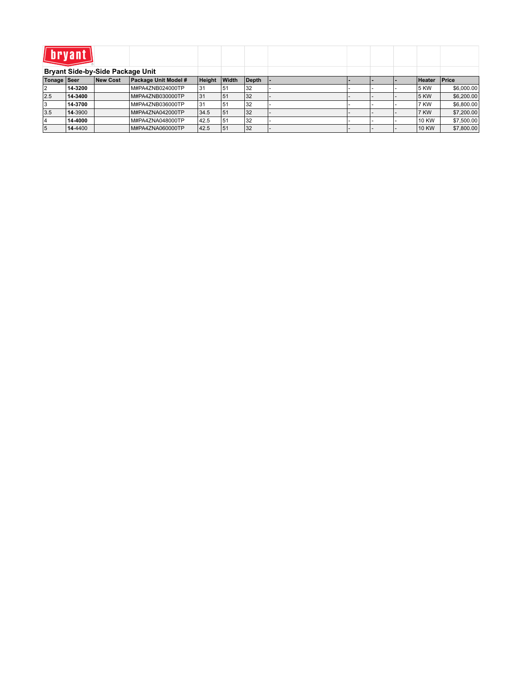| <i>l</i> l bryanti |         |                                  |                      |        |       |       |  |  |               |            |
|--------------------|---------|----------------------------------|----------------------|--------|-------|-------|--|--|---------------|------------|
|                    |         | Bryant Side-by-Side Package Unit |                      |        |       |       |  |  |               |            |
| Tonage Seer        |         | New Cost                         | Package Unit Model # | Height | Width | Depth |  |  | <b>Heater</b> | Price      |
| 12                 | 14-3200 |                                  | M#PA4ZNB024000TP     | 31     | 51ء   | 32    |  |  | 5 KW          | \$6,000.00 |
| 2.5                | 14-3400 |                                  | M#PA4ZNB030000TP     | 31     | 51    | 32    |  |  | 5 KW          | \$6,200.00 |
| 13                 | 14-3700 |                                  | M#PA4ZNB036000TP     | 31     | 151   | 32    |  |  | 7 KW          | \$6,800.00 |
| 3.5                | 14-3900 |                                  | M#PA4ZNA042000TP     | 34.5   | 51    | 32    |  |  | 7 KW          | \$7,200.00 |
| 14                 | 14-4000 |                                  | M#PA4ZNA048000TP     | 42.5   | 51    | 32    |  |  | 10 KW         | \$7,500.00 |
| 15                 | 14-4400 |                                  | M#PA4ZNA060000TP     | 42.5   | 51    | 32    |  |  | <b>10 KW</b>  | \$7,800.00 |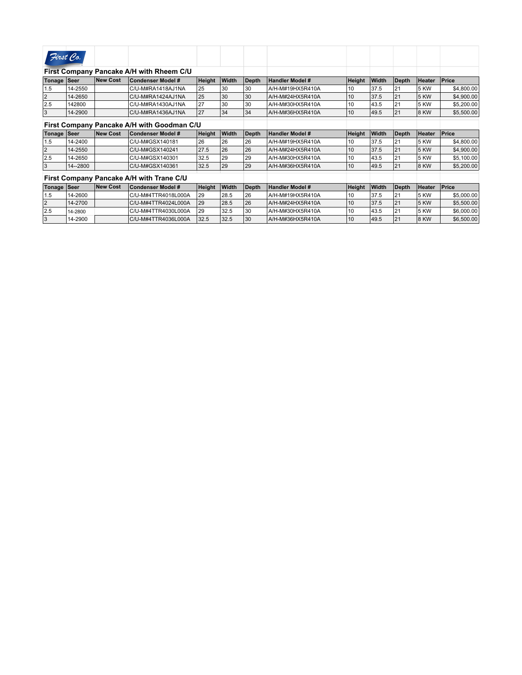| First Co.      |            |                 |                                            |        |              |              |                        |        |       |              |               |            |
|----------------|------------|-----------------|--------------------------------------------|--------|--------------|--------------|------------------------|--------|-------|--------------|---------------|------------|
|                |            |                 | First Company Pancake A/H with Rheem C/U   |        |              |              |                        |        |       |              |               |            |
| Tonage Seer    |            | New Cost        | <b>Condenser Model #</b>                   | Height | Width        | <b>Depth</b> | <b>Handler Model #</b> | Height | Width | Depth        | <b>Heater</b> | Price      |
| 1.5            | 14-2550    |                 | C/U-M#RA1418AJ1NA                          | 25     | 30           | 30           | A/H-M#19HX5R410A       | 10     | 37.5  | 21           | 5 KW          | \$4,800.00 |
| $\overline{2}$ | 14-2650    |                 | C/U-M#RA1424AJ1NA                          | 25     | 30           | 30           | A/H-M#24HX5R410A       | 10     | 37.5  | 21           | 5 KW          | \$4,900.00 |
| 2.5            | 142800     |                 | C/U-M#RA1430AJ1NA                          | 27     | 30           | 30           | A/H-M#30HX5R410A       | 10     | 43.5  | 21           | 5 KW          | \$5,200.00 |
| 3              | 14-2900    |                 | C/U-M#RA1436AJ1NA                          | 27     | 34           | 34           | A/H-M#36HX5R410A       | 10     | 49.5  | 21           | 8 KW          | \$5,500.00 |
|                |            |                 | First Company Pancake A/H with Goodman C/U |        |              |              |                        |        |       |              |               |            |
| Tonage Seer    |            | New Cost        | <b>Condenser Model #</b>                   | Height | <b>Width</b> | <b>Depth</b> | Handler Model #        | Height | Width | <b>Depth</b> | <b>Heater</b> | Price      |
| 1.5            | 14-2400    |                 | C/U-M#GSX140181                            | 26     | 26           | 26           | A/H-M#19HX5R410A       | 10     | 37.5  | 21           | 5 KW          | \$4,800.00 |
| 2              | 14-2550    |                 | C/U-M#GSX140241                            | 27.5   | 26           | 26           | A/H-M#24HX5R410A       | 10     | 37.5  | 21           | 5 KW          | \$4,900.00 |
| 2.5            | 14-2650    |                 | C/U-M#GSX140301                            | 32.5   | 29           | 29           | A/H-M#30HX5R410A       | 10     | 43.5  | 21           | 5 KW          | \$5,100.00 |
| 3              | 14 -- 2800 |                 | C/U-M#GSX140361                            | 32.5   | 29           | 29           | A/H-M#36HX5R410A       | 10     | 49.5  | 21           | 8 KW          | \$5,200.00 |
|                |            |                 | First Company Pancake A/H with Trane C/U   |        |              |              |                        |        |       |              |               |            |
| Tonage   Seer  |            | <b>New Cost</b> | <b>Condenser Model #</b>                   | Height | Width        | <b>Depth</b> | <b>Handler Model #</b> | Height | Width | <b>Depth</b> | <b>Heater</b> | Price      |
| 1.5            | 14-2600    |                 | C/U-M#4TTR4018L000A                        | 29     | 28.5         | 26           | A/H-M#19HX5R410A       | 10     | 37.5  | 21           | 5 KW          | \$5,000.00 |
| $\overline{2}$ | 14-2700    |                 | C/U-M#4TTR4024L000A                        | 29     | 28.5         | 26           | A/H-M#24HX5R410A       | 10     | 37.5  | 21           | 5 KW          | \$5,500.00 |
| 2.5            | 14-2800    |                 | C/U-M#4TTR4030L000A                        | 29     | 32.5         | 30           | A/H-M#30HX5R410A       | 10     | 43.5  | 21           | 5 KW          | \$6,000.00 |
| 3              | 14-2900    |                 | C/U-M#4TTR4036L000A                        | 32.5   | 32.5         | 30           | A/H-M#36HX5R410A       | 10     | 49.5  | 21           | 8 KW          | \$6,500.00 |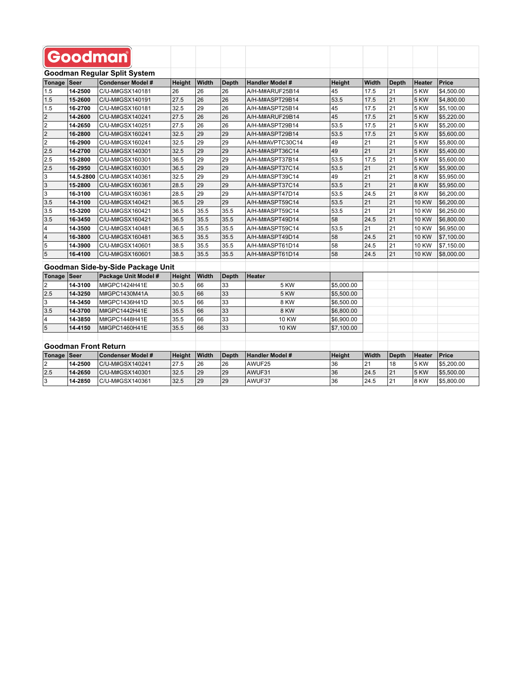|                         |                             | Goodman                             |        |       |              |                        |            |       |                 |               |              |
|-------------------------|-----------------------------|-------------------------------------|--------|-------|--------------|------------------------|------------|-------|-----------------|---------------|--------------|
|                         |                             | <b>Goodman Reqular Split System</b> |        |       |              |                        |            |       |                 |               |              |
| Tonage                  | <b>Seer</b>                 | <b>Condenser Model #</b>            | Height | Width | <b>Depth</b> | <b>Handler Model #</b> | Height     | Width | Depth           | <b>Heater</b> | <b>Price</b> |
| 1.5                     | 14-2500                     | C/U-M#GSX140181                     | 26     | 26    | 26           | A/H-M#ARUF25B14        | 45         | 17.5  | 21              | 5 KW          | \$4,500.00   |
| 1.5                     | 15-2600                     | C/U-M#GSX140191                     | 27.5   | 26    | 26           | A/H-M#ASPT29B14        | 53.5       | 17.5  | 21              | <b>5 KW</b>   | \$4,800.00   |
| 1.5                     | 16-2700                     | C/U-M#GSX160181                     | 32.5   | 29    | 26           | A/H-M#ASPT25B14        | 45         | 17.5  | 21              | 5 KW          | \$5,100.00   |
| $\overline{\mathbf{c}}$ | 14-2600                     | C/U-M#GSX140241                     | 27.5   | 26    | 26           | A/H-M#ARUF29B14        | 45         | 17.5  | 21              | 5 KW          | \$5,220.00   |
| $\overline{2}$          | 14-2650                     | C/U-M#GSX140251                     | 27.5   | 26    | 26           | A/H-M#ASPT29B14        | 53.5       | 17.5  | 21              | 5 KW          | \$5,200.00   |
| $\overline{2}$          | 16-2800                     | C/U-M#GSX160241                     | 32.5   | 29    | 29           | A/H-M#ASPT29B14        | 53.5       | 17.5  | 21              | 5 KW          | \$5,600.00   |
| $\overline{2}$          | 16-2900                     | C/U-M#GSX160241                     | 32.5   | 29    | 29           | A/H-M#AVPTC30C14       | 49         | 21    | 21              | 5 KW          | \$5,800.00   |
| 2.5                     | 14-2700                     | C/U-M#GSX140301                     | 32.5   | 29    | 29           | A/H-M#ASPT36C14        | 49         | 21    | 21              | <b>5 KW</b>   | \$5,400.00   |
| 2.5                     | 15-2800                     | C/U-M#GSX160301                     | 36.5   | 29    | 29           | A/H-M#ASPT37B14        | 53.5       | 17.5  | $\overline{21}$ | 5 KW          | \$5,600.00   |
| 2.5                     | 16-2950                     | C/U-M#GSX160301                     | 36.5   | 29    | 29           | A/H-M#ASPT37C14        | 53.5       | 21    | 21              | 5 KW          | \$5,900.00   |
| 3                       | 14.5-2800                   | C/U-M#GSX140361                     | 32.5   | 29    | 29           | A/H-M#ASPT39C14        | 49         | 21    | 21              | 8 KW          | \$5,950.00   |
| $\vert$ 3               | 15-2800                     | C/U-M#GSX160361                     | 28.5   | 29    | 29           | A/H-M#ASPT37C14        | 53.5       | 21    | 21              | 8 KW          | \$5,950.00   |
| 3                       | 16-3100                     | C/U-M#GSX160361                     | 28.5   | 29    | 29           | A/H-M#ASPT47D14        | 53.5       | 24.5  | 21              | 8 KW          | \$6,200.00   |
| 3.5                     | 14-3100                     | C/U-M#GSX140421                     | 36.5   | 29    | 29           | A/H-M#ASPT59C14        | 53.5       | 21    | 21              | <b>10 KW</b>  | \$6,200.00   |
| 3.5                     | 15-3200                     | C/U-M#GSX160421                     | 36.5   | 35.5  | 35.5         | A/H-M#ASPT59C14        | 53.5       | 21    | 21              | <b>10 KW</b>  | \$6,250.00   |
| 3.5                     | 16-3450                     | C/U-M#GSX160421                     | 36.5   | 35.5  | 35.5         | A/H-M#ASPT49D14        | 58         | 24.5  | 21              | <b>10 KW</b>  | \$6,800.00   |
| $\overline{\mathbf{4}}$ | 14-3500                     | C/U-M#GSX140481                     | 36.5   | 35.5  | 35.5         | A/H-M#ASPT59C14        | 53.5       | 21    | 21              | 10 KW         | \$6,950.00   |
| $\vert$ 4               | 16-3800                     | C/U-M#GSX160481                     | 36.5   | 35.5  | 35.5         | A/H-M#ASPT49D14        | 58         | 24.5  | 21              | <b>10 KW</b>  | \$7,100.00   |
| 5                       | 14-3900                     | C/U-M#GSX140601                     | 38.5   | 35.5  | 35.5         | A/H-M#ASPT61D14        | 58         | 24.5  | 21              | <b>10 KW</b>  | \$7,150.00   |
| 5                       | 16-4100                     | C/U-M#GSX160601                     | 38.5   | 35.5  | 35.5         | A/H-M#ASPT61D14        | 58         | 24.5  | 21              | <b>10 KW</b>  | \$8,000.00   |
|                         |                             | Goodman Side-by-Side Package Unit   |        |       |              |                        |            |       |                 |               |              |
| Tonage                  | Seer                        | Package Unit Model #                | Height | Width | <b>Depth</b> | Heater                 |            |       |                 |               |              |
| $\overline{2}$          | 14-3100                     | M#GPC1424H41E                       | 30.5   | 66    | 33           | 5 KW                   | \$5,000.00 |       |                 |               |              |
| 2.5                     | 14-3250                     | M#GPC1430M41A                       | 30.5   | 66    | 33           | <b>5 KW</b>            | \$5,500.00 |       |                 |               |              |
| 3                       | 14-3450                     | M#GPC1436H41D                       | 30.5   | 66    | 33           | 8 KW                   | \$6,500.00 |       |                 |               |              |
| 3.5                     | 14-3700                     | M#GPC1442H41E                       | 35.5   | 66    | 33           | 8 KW                   | \$6,800.00 |       |                 |               |              |
| 4                       | 14-3850                     | M#GPC1448H41E                       | 35.5   | 66    | 33           | <b>10 KW</b>           | \$6,900.00 |       |                 |               |              |
| $\overline{5}$          | 14-4150                     | M#GPC1460H41E                       | 35.5   | 66    | 33           | <b>10 KW</b>           | \$7,100.00 |       |                 |               |              |
|                         |                             |                                     |        |       |              |                        |            |       |                 |               |              |
|                         | <b>Goodman Front Return</b> |                                     |        |       |              |                        |            |       |                 |               |              |
| Tonage                  | <b>Seer</b>                 | <b>Condenser Model #</b>            | Height | Width | <b>Depth</b> | <b>Handler Model #</b> | Height     | Width | Depth           | <b>Heater</b> | <b>Price</b> |
| 2                       | 14-2500                     | C/U-M#GSX140241                     | 27.5   | 26    | 26           | AWUF25                 | 36         | 21    | 18              | 5 KW          | \$5,200.00   |
| 2.5                     | 14-2650                     | C/U-M#GSX140301                     | 32.5   | 29    | 29           | AWUF31                 | 36         | 24.5  | 21              | 5 KW          | \$5,500.00   |
| 3                       | 14-2850                     | C/U-M#GSX140361                     | 32.5   | 29    | 29           | AWUF37                 | 36         | 24.5  | 21              | 8 KW          | \$5,800.00   |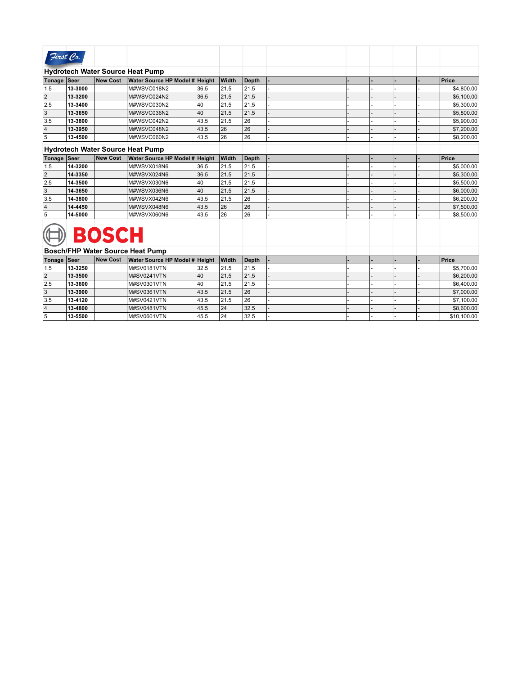| First Co.   |         |          |                                         |      |              |              |  |  |            |
|-------------|---------|----------|-----------------------------------------|------|--------------|--------------|--|--|------------|
|             |         |          | <b>Hydrotech Water Source Heat Pump</b> |      |              |              |  |  |            |
| Tonage Seer |         | New Cost | Water Source HP Model # Height          |      | <b>Width</b> | <b>Depth</b> |  |  | Price      |
| 1.5         | 13-3000 |          | M#WSVC018N2                             | 36.5 | 21.5         | 21.5         |  |  | \$4,800.00 |
| 2           | 13-3200 |          | M#WSVC024N2                             | 36.5 | 21.5         | 21.5         |  |  | \$5,100.00 |
| 2.5         | 13-3400 |          | M#WSVC030N2                             | 140  | 21.5         | 21.5         |  |  | \$5,300.00 |
| 3           | 13-3650 |          | M#WSVC036N2                             | 40   | 21.5         | 21.5         |  |  | \$5,800.00 |
| 3.5         | 13-3800 |          | M#WSVC042N2                             | 43.5 | 21.5         | 26           |  |  | \$5,900.00 |
| 14          | 13-3950 |          | M#WSVC048N2                             | 43.5 | 26           | 26           |  |  | \$7,200.00 |
| 5           | 13-4500 |          | M#WSVC060N2                             | 43.5 | 26           | 26           |  |  | \$8,200.00 |
|             |         |          | <b>Hydrotech Water Source Heat Pump</b> |      |              |              |  |  |            |

| Tonage Seer   |         | New Cost     | Water Source HP Model # Height |      | Width | Depth |  |  | Price      |
|---------------|---------|--------------|--------------------------------|------|-------|-------|--|--|------------|
| 1.5           | 14-3200 |              | M#WSVX018N6                    | 36.5 | 21.5  | 21.5  |  |  | \$5,000.00 |
| $ 2\rangle$   | 14-3350 |              | M#WSVX024N6                    | 36.5 | 21.5  | 21.5  |  |  | \$5,300.00 |
| $ 2.5\rangle$ | 14-3500 |              | M#WSVX030N6                    | 140  | 21.5  | 21.5  |  |  | \$5,500.00 |
| 3             | 14-3650 |              | M#WSVX036N6                    | 140  | 21.5  | 21.5  |  |  | \$6,000.00 |
| 3.5           | 14-3800 |              | M#WSVX042N6                    | 43.5 | 21.5  | 26    |  |  | \$6,200.00 |
| 14            | 14-4450 |              | M#WSVX048N6                    | 43.5 | 26    | 26    |  |  | \$7,500.00 |
| 15            | 14-5000 |              | M#WSVX060N6                    | 43.5 | 26    | 26    |  |  | \$8,500.00 |
|               |         | <b>BOSCH</b> |                                |      |       |       |  |  |            |

|             |         |          | Bosch/FHP Water Source Heat Pump |      |              |       |  |  |             |
|-------------|---------|----------|----------------------------------|------|--------------|-------|--|--|-------------|
| Tonage Seer |         | New Cost | Water Source HP Model # Height   |      | <b>Width</b> | Depth |  |  | Price       |
| 1.5         | 13-3250 |          | <b>M#SV0181VTN</b>               | 32.5 | 21.5         | 21.5  |  |  | \$5,700.00  |
| 12          | 13-3500 |          | M#SV0241VTN                      | 40   | 21.5         | 21.5  |  |  | \$6,200.00  |
| 2.5         | 13-3600 |          | M#SV0301VTN                      | 140  | 21.5         | 21.5  |  |  | \$6,400.00  |
| 13          | 13-3900 |          | M#SV0361VTN                      | 43.5 | 21.5         | 26    |  |  | \$7,000.00  |
| 3.5         | 13-4120 |          | <b>M#SV0421VTN</b>               | 43.5 | 21.5         | 26    |  |  | \$7,100.00  |
| 14          | 13-4800 |          | M#SV0481VTN                      | 45.5 | 24           | 32.5  |  |  | \$8,600.00  |
| 15          | 13-5500 |          | M#SV0601VTN                      | 45.5 | 24           | 32.5  |  |  | \$10,100.00 |